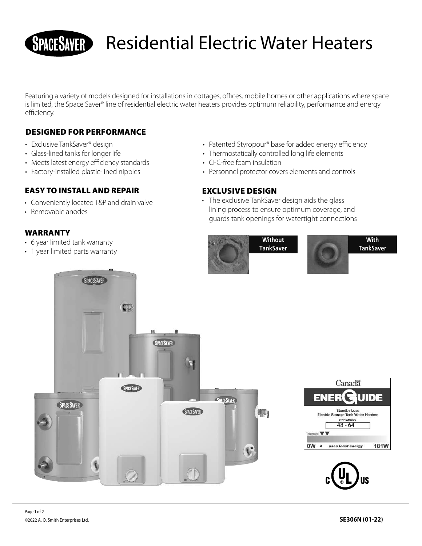# Residential Electric Water Heaters

Featuring a variety of models designed for installations in cottages, offices, mobile homes or other applications where space is limited, the Space Saver® line of residential electric water heaters provides optimum reliability, performance and energy efficiency.

## DESIGNED FOR PERFORMANCE

- Exclusive TankSaver® design
- Glass-lined tanks for longer life
- Meets latest energy efficiency standards
- Factory-installed plastic-lined nipples

#### EASY TO INSTALL AND REPAIR

- Conveniently located T&P and drain valve
- Removable anodes

### WARRANTY

- 6 year limited tank warranty
- 1 year limited parts warranty
- Patented Styropour® base for added energy efficiency
- Thermostatically controlled long life elements
- CFC-free foam insulation
- Personnel protector covers elements and controls

#### EXCLUSIVE DESIGN

• The exclusive TankSaver design aids the glass lining process to ensure optimum coverage, and guards tank openings for watertight connections